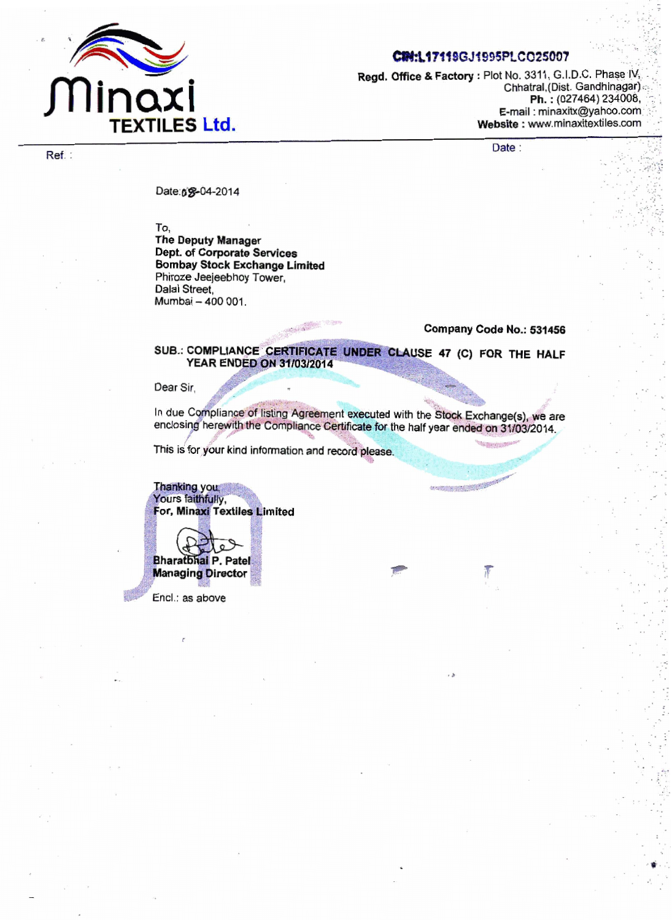

**Ref.** :

## CIN:L17119GJ1995PLCO25007

**Regd, Office & Factory : Plot No. 3311, G.I.D.C. Phase IV,** Chhatral,(Dist. Gandhinagar) .: **Ph.: (027464) 234008, E-mail : minaxitx@yahoo.com**  $Website: [www.minaxitextiles.com](http://www.minaxitextiles.com)$ 

**Date** :

**Date: 0~2014** 

**To,** 

**The Deputy Manager Dept. of Corporate Services Bombay Stock Exchange Limited Phime Jeejeebhoy Tower, Dalal Street, Mumbai** - **<sup>400</sup>**001.

**Campany Code No.: 531458** 

SUB.: COMPLIANCE CERTIFICATE UNDER CLAUSE 47 (C) FOR THE HALF **YEAR ENDED ON 31/03/2014** 

Dear Sir.

In due Compliance of listing Agreement executed with the Stock Exchange(s), we are enclosing herewith the Compliance Certificate for the half year ended on 31/03/2014.

This is for your kind information and record please.

Thanking you, Yours faithfully, For, Minaxi Textiles Limited

**Bharatbhai P. Patel Managing Director** 

Encl.: as above